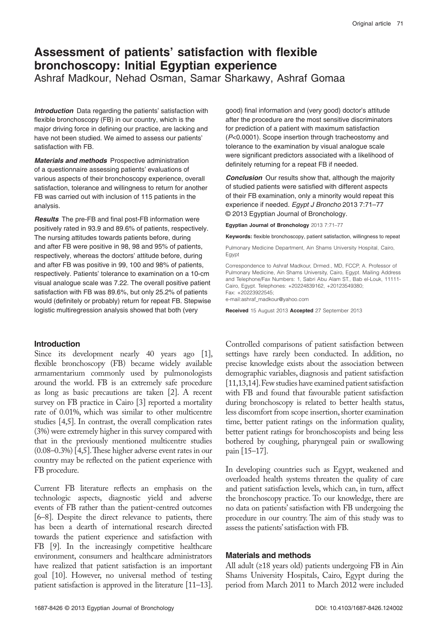# **Assessment of patients' satisfaction with flexible bronchoscopy: Initial Egyptian experience**

Ashraf Madkour, Nehad Osman, Samar Sharkawy, Ashraf Gomaa

**Introduction** Data regarding the patients' satisfaction with flexible bronchoscopy (FB) in our country, which is the major driving force in defining our practice, are lacking and have not been studied. We aimed to assess our patients' satisfaction with FB.

**Materials and methods** Prospective administration of a questionnaire assessing patients' evaluations of various aspects of their bronchoscopy experience, overall satisfaction, tolerance and willingness to return for another FB was carried out with inclusion of 115 patients in the analysis.

**Results** The pre-FB and final post-FB information were positively rated in 93.9 and 89.6% of patients, respectively. The nursing attitudes towards patients before, during and after FB were positive in 98, 98 and 95% of patients, respectively, whereas the doctors' attitude before, during and after FB was positive in 99, 100 and 98% of patients, respectively. Patients' tolerance to examination on a 10-cm visual analogue scale was 7.22. The overall positive patient satisfaction with FB was 89.6%, but only 25.2% of patients would (definitely or probably) return for repeat FB. Stepwise logistic multiregression analysis showed that both (very

## **Introduction**

Since its development nearly 40 years ago [1], flexible bronchoscopy (FB) became widely available armamentarium commonly used by pulmonologists around the world. FB is an extremely safe procedure as long as basic precautions are taken [2]. A recent survey on FB practice in Cairo [3] reported a mortality rate of 0.01%, which was similar to other multicentre studies [4,5]. In contrast, the overall complication rates (3%) were extremely higher in this survey compared with that in the previously mentioned multicentre studies (0.08–0.3%) [4,5]. These higher adverse event rates in our country may be reflected on the patient experience with FB procedure.

Current FB literature reflects an emphasis on the technologic aspects, diagnostic yield and adverse events of FB rather than the patient-centred outcomes [6–8]. Despite the direct relevance to patients, there has been a dearth of international research directed towards the patient experience and satisfaction with FB [9]. In the increasingly competitive healthcare environment, consumers and healthcare administrators have realized that patient satisfaction is an important goal [10]. However, no universal method of testing patient satisfaction is approved in the literature [11–13]. good) final information and (very good) doctor's attitude after the procedure are the most sensitive discriminators for prediction of a patient with maximum satisfaction (*P*<0.0001). Scope insertion through tracheostomy and tolerance to the examination by visual analogue scale were significant predictors associated with a likelihood of definitely returning for a repeat FB if needed.

**Conclusion** Our results show that, although the majority of studied patients were satisfied with different aspects of their FB examination, only a minority would repeat this experience if needed. *Egypt J Broncho* 2013 7:71–77 © 2013 Egyptian Journal of Bronchology.

**Egyptian Journal of Bronchology** 2013 7:71–77

**Keywords:** flexible bronchoscopy, patient satisfaction, willingness to repeat

Pulmonary Medicine Department, Ain Shams University Hospital, Cairo, Egypt

Correspondence to Ashraf Madkour, Drmed., MD, FCCP, A. Professor of Pulmonary Medicine, Ain Shams University, Cairo, Egypt. Mailing Address and Telephone/Fax Numbers: 1, Sabri Abu Alam ST., Bab el-Louk, 11111-Cairo, Egypt. Telephones: +20224839162, +20123549380; Fax: +20223922545;

e-mail:ashraf\_madkour@yahoo.com

**Received** 15 August 2013 **Accepted** 27 September 2013

Controlled comparisons of patient satisfaction between settings have rarely been conducted. In addition, no precise knowledge exists about the association between demographic variables, diagnosis and patient satisfaction [11,13,14]. Few studies have examined patient satisfaction with FB and found that favourable patient satisfaction during bronchoscopy is related to better health status, less discomfort from scope insertion, shorter examination time, better patient ratings on the information quality, better patient ratings for bronchoscopists and being less bothered by coughing, pharyngeal pain or swallowing pain [15–17].

In developing countries such as Egypt, weakened and overloaded health systems threaten the quality of care and patient satisfaction levels, which can, in turn, affect the bronchoscopy practice. To our knowledge, there are no data on patients' satisfaction with FB undergoing the procedure in our country. The aim of this study was to assess the patients' satisfaction with FB.

## **Materials and methods**

All adult (≥18 years old) patients undergoing FB in Ain Shams University Hospitals, Cairo, Egypt during the period from March 2011 to March 2012 were included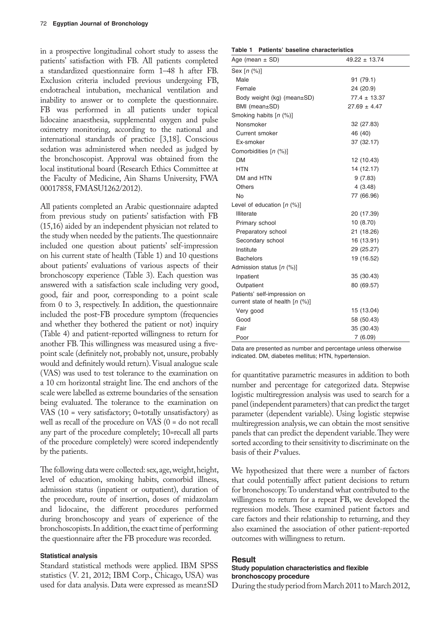in a prospective longitudinal cohort study to assess the patients' satisfaction with FB. All patients completed a standardized questionnaire form 1–48 h after FB. Exclusion criteria included previous undergoing FB, endotracheal intubation, mechanical ventilation and inability to answer or to complete the questionnaire. FB was performed in all patients under topical lidocaine anaesthesia, supplemental oxygen and pulse oximetry monitoring, according to the national and international standards of practice [3,18]. Conscious sedation was administered when needed as judged by the bronchoscopist. Approval was obtained from the local institutional board (Research Ethics Committee at the Faculty of Medicine, Ain Shams University, FWA 00017858, FMASU1262/2012).

All patients completed an Arabic questionnaire adapted from previous study on patients' satisfaction with FB (15,16) aided by an independent physician not related to the study when needed by the patients. The questionnaire included one question about patients' self-impression on his current state of health (Table 1) and 10 questions about patients' evaluations of various aspects of their bronchoscopy experience (Table 3). Each question was answered with a satisfaction scale including very good, good, fair and poor, corresponding to a point scale from 0 to 3, respectively. In addition, the questionnaire included the post-FB procedure symptom (frequencies and whether they bothered the patient or not) inquiry (Table 4) and patient-reported willingness to return for another FB. This willingness was measured using a fivepoint scale (definitely not, probably not, unsure, probably would and definitely would return). Visual analogue scale (VAS) was used to test tolerance to the examination on a 10 cm horizontal straight line. The end anchors of the scale were labelled as extreme boundaries of the sensation being evaluated. The tolerance to the examination on VAS (10 = very satisfactory; 0=totally unsatisfactory) as well as recall of the procedure on VAS (0 = do not recall any part of the procedure completely; 10=recall all parts of the procedure completely) were scored independently by the patients.

The following data were collected: sex, age, weight, height, level of education, smoking habits, comorbid illness, admission status (inpatient or outpatient), duration of the procedure, route of insertion, doses of midazolam and lidocaine, the different procedures performed during bronchoscopy and years of experience of the bronchoscopists. In addition, the exact time of performing the questionnaire after the FB procedure was recorded.

#### **Statistical analysis**

Standard statistical methods were applied. IBM SPSS statistics (V. 21, 2012; IBM Corp., Chicago, USA) was used for data analysis. Data were expressed as mean±SD

|  |  | Table 1 Patients' baseline characteristics |
|--|--|--------------------------------------------|
|  |  |                                            |

| Age (mean $\pm$ SD)                                                | $49.22 \pm 13.74$ |
|--------------------------------------------------------------------|-------------------|
| Sex $[n (%)]$                                                      |                   |
| Male                                                               | 91 (79.1)         |
| Female                                                             | 24 (20.9)         |
| Body weight $(kg)$ (mean $\pm$ SD)                                 | $77.4 \pm 13.37$  |
| BMI (mean±SD)                                                      | $27.69 \pm 4.47$  |
| Smoking habits [n (%)]                                             |                   |
| Nonsmoker                                                          | 32 (27.83)        |
| Current smoker                                                     | 46 (40)           |
| Ex-smoker                                                          | 37 (32.17)        |
| Comorbidities [n (%)]                                              |                   |
| DМ                                                                 | 12 (10.43)        |
| <b>HTN</b>                                                         | 14 (12.17)        |
| DM and HTN                                                         | 9(7.83)           |
| Others                                                             | 4(3.48)           |
| No                                                                 | 77 (66.96)        |
| Level of education $[n (%)]$                                       |                   |
| Illiterate                                                         | 20 (17.39)        |
| Primary school                                                     | 10 (8.70)         |
| Preparatory school                                                 | 21 (18.26)        |
| Secondary school                                                   | 16 (13.91)        |
| Institute                                                          | 29 (25.27)        |
| <b>Bachelors</b>                                                   | 19 (16.52)        |
| Admission status [n (%)]                                           |                   |
| Inpatient                                                          | 35 (30.43)        |
| Outpatient                                                         | 80 (69.57)        |
| Patients' self-impression on<br>current state of health $[n (\%)]$ |                   |
| Very good                                                          | 15 (13.04)        |
| Good                                                               | 58 (50.43)        |
| Fair                                                               | 35 (30.43)        |
| Poor                                                               | 7(6.09)           |

Data are presented as number and percentage unless otherwise indicated. DM, diabetes mellitus; HTN, hypertension.

for quantitative parametric measures in addition to both number and percentage for categorized data. Stepwise logistic multiregression analysis was used to search for a panel (independent parameters) that can predict the target parameter (dependent variable). Using logistic stepwise multiregression analysis, we can obtain the most sensitive panels that can predict the dependent variable. They were sorted according to their sensitivity to discriminate on the basis of their *P* values.

We hypothesized that there were a number of factors that could potentially affect patient decisions to return for bronchoscopy. To understand what contributed to the willingness to return for a repeat FB, we developed the regression models. These examined patient factors and care factors and their relationship to returning, and they also examined the association of other patient-reported outcomes with willingness to return.

#### **Result**

## **Study population characteristics and flexible bronchoscopy procedure**

During the study period from March 2011 to March 2012,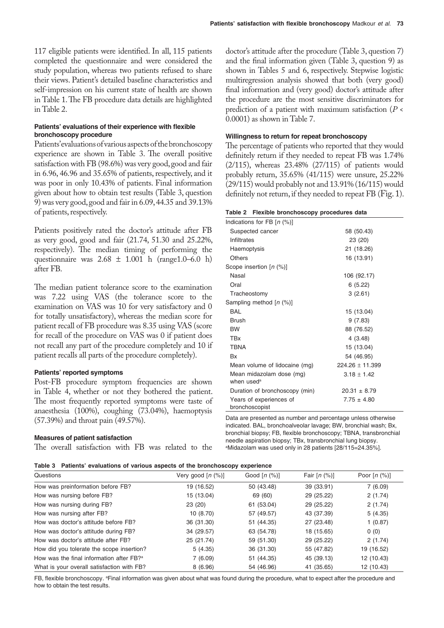117 eligible patients were identified. In all, 115 patients completed the questionnaire and were considered the study population, whereas two patients refused to share their views. Patient's detailed baseline characteristics and self-impression on his current state of health are shown in Table 1. The FB procedure data details are highlighted in Table 2.

#### **Patients' evaluations of their experience with flexible bronchoscopy procedure**

Patients' evaluations of various aspects of the bronchoscopy experience are shown in Table 3. The overall positive satisfaction with FB (98.6%) was very good, good and fair in 6.96, 46.96 and 35.65% of patients, respectively, and it was poor in only 10.43% of patients. Final information given about how to obtain test results (Table 3, question 9) was very good, good and fair in 6.09, 44.35 and 39.13% of patients, respectively.

Patients positively rated the doctor's attitude after FB as very good, good and fair (21.74, 51.30 and 25.22%, respectively). The median timing of performing the questionnaire was  $2.68 \pm 1.001$  h (range 1.0–6.0 h) after FB.

The median patient tolerance score to the examination was 7.22 using VAS (the tolerance score to the examination on VAS was 10 for very satisfactory and 0 for totally unsatisfactory), whereas the median score for patient recall of FB procedure was 8.35 using VAS (score for recall of the procedure on VAS was 0 if patient does not recall any part of the procedure completely and 10 if patient recalls all parts of the procedure completely).

#### **Patients' reported symptoms**

Post-FB procedure symptom frequencies are shown in Table 4, whether or not they bothered the patient. The most frequently reported symptoms were taste of anaesthesia (100%), coughing (73.04%), haemoptysis (57.39%) and throat pain (49.57%).

#### **Measures of patient satisfaction**

The overall satisfaction with FB was related to the

doctor's attitude after the procedure (Table 3, question 7) and the final information given (Table 3, question 9) as shown in Tables 5 and 6, respectively. Stepwise logistic multiregression analysis showed that both (very good) final information and (very good) doctor's attitude after the procedure are the most sensitive discriminators for prediction of a patient with maximum satisfaction (*P* < 0.0001) as shown in Table 7.

## **Willingness to return for repeat bronchoscopy**

The percentage of patients who reported that they would definitely return if they needed to repeat FB was 1.74% (2/115), whereas 23.48% (27/115) of patients would probably return, 35.65% (41/115) were unsure, 25.22% (29/115) would probably not and 13.91% (16/115) would definitely not return, if they needed to repeat FB (Fig. 1).

## **Table 2 Flexible bronchoscopy procedures data**

| Indications for FB $[n \ (\%)]$           |                   |
|-------------------------------------------|-------------------|
| Suspected cancer                          | 58 (50.43)        |
| Infiltrates                               | 23 (20)           |
| Haemoptysis                               | 21 (18.26)        |
| Others                                    | 16 (13.91)        |
| Scope insertion [n (%)]                   |                   |
| Nasal                                     | 106 (92.17)       |
| Oral                                      | 6(5.22)           |
| Tracheostomy                              | 3(2.61)           |
| Sampling method [n (%)]                   |                   |
| BAI                                       | 15 (13.04)        |
| <b>Brush</b>                              | 9(7.83)           |
| <b>BW</b>                                 | 88 (76.52)        |
| <b>TBx</b>                                | 4(3.48)           |
| <b>TBNA</b>                               | 15 (13.04)        |
| <b>Bx</b>                                 | 54 (46.95)        |
| Mean volume of lidocaine (mg)             | $224.26 + 11.399$ |
| Mean midazolam dose (mg)                  | $3.18 + 1.42$     |
| when used <sup>a</sup>                    |                   |
| Duration of bronchoscopy (min)            | $20.31 \pm 8.79$  |
| Years of experiences of<br>bronchoscopist | $7.75 \pm 4.80$   |

Data are presented as number and percentage unless otherwise indicated. BAL, bronchoalveolar lavage; BW, bronchial wash; Bx, bronchial biopsy; FB, flexible bronchoscopy; TBNA, transbronchial needle aspiration biopsy; TBx, transbronchial lung biopsy. a Midazolam was used only in 28 patients [28/115=24.35%].

|  |  |  |  |  |  |  |  | Table 3 Patients' evaluations of various aspects of the bronchoscopy experience |  |
|--|--|--|--|--|--|--|--|---------------------------------------------------------------------------------|--|
|--|--|--|--|--|--|--|--|---------------------------------------------------------------------------------|--|

| Questions                                            | Very good $[n (%)]$ | Good $[n (%)]$ | Fair $[n (%)]$ | Poor $[n (%)]$ |
|------------------------------------------------------|---------------------|----------------|----------------|----------------|
| How was preinformation before FB?                    | 19 (16.52)          | 50 (43.48)     | 39 (33.91)     | 7(6.09)        |
| How was nursing before FB?                           | 15 (13.04)          | 69 (60)        | 29 (25.22)     | 2(1.74)        |
| How was nursing during FB?                           | 23(20)              | 61 (53.04)     | 29 (25.22)     | 2(1.74)        |
| How was nursing after FB?                            | 10(8.70)            | 57 (49.57)     | 43 (37.39)     | 5(4.35)        |
| How was doctor's attitude before FB?                 | 36 (31.30)          | 51 (44.35)     | 27 (23.48)     | 1(0.87)        |
| How was doctor's attitude during FB?                 | 34 (29.57)          | 63 (54.78)     | 18 (15.65)     | 0(0)           |
| How was doctor's attitude after FB?                  | 25 (21.74)          | 59 (51.30)     | 29 (25.22)     | 2(1.74)        |
| How did you tolerate the scope insertion?            | 5(4.35)             | 36 (31.30)     | 55 (47.82)     | 19 (16.52)     |
| How was the final information after FB? <sup>a</sup> | 7(6.09)             | 51 (44.35)     | 45 (39.13)     | 12 (10.43)     |
| What is your overall satisfaction with FB?           | 8(6.96)             | 54 (46.96)     | 41 (35.65)     | 12 (10.43)     |

FB, flexible bronchoscopy. <sup>a</sup>Final information was given about what was found during the procedure, what to expect after the procedure and how to obtain the test results.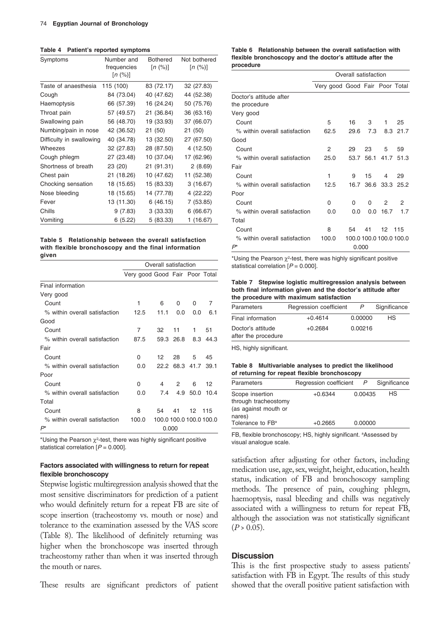**Table 4 Patient's reported symptoms**

| Symptoms                 | Number and<br>frequencies<br>[n (%)] | <b>Bothered</b><br>[n (%)] | Not bothered<br>[n (%)] |
|--------------------------|--------------------------------------|----------------------------|-------------------------|
| Taste of anaesthesia     | 115 (100)                            | 83 (72.17)                 | 32 (27.83)              |
| Cough                    | 84 (73.04)                           | 40 (47.62)                 | 44 (52.38)              |
| Haemoptysis              | 66 (57.39)                           | 16 (24.24)                 | 50 (75.76)              |
| Throat pain              | 57 (49.57)                           | 21 (36.84)                 | 36 (63.16)              |
| Swallowing pain          | 56 (48.70)                           | 19 (33.93)                 | 37 (66.07)              |
| Numbing/pain in nose     | 42 (36.52)                           | 21 (50)                    | 21 (50)                 |
| Difficulty in swallowing | 40 (34.78)                           | 13 (32.50)                 | 27 (67.50)              |
| Wheezes                  | 32 (27.83)                           | 28 (87.50)                 | 4 (12.50)               |
| Cough phlegm             | 27 (23.48)                           | 10 (37.04)                 | 17 (62.96)              |
| Shortness of breath      | 23 (20)                              | 21 (91.31)                 | 2(8.69)                 |
| Chest pain               | 21 (18.26)                           | 10 (47.62)                 | 11 (52.38)              |
| Chocking sensation       | 18 (15.65)                           | 15 (83.33)                 | 3(16.67)                |
| Nose bleeding            | 18 (15.65)                           | 14 (77.78)                 | 4 (22.22)               |
| Fever                    | 13 (11.30)                           | 6(46.15)                   | 7(53.85)                |
| Chills                   | 9(7.83)                              | 3(33.33)                   | 6 (66.67)               |
| Vomiting                 | 6(5.22)                              | 5(83.33)                   | 1 (16.67)               |

**Table 5 Relationship between the overall satisfaction with flexible bronchoscopy and the final information given**

|                               | Overall satisfaction           |                         |           |           |          |
|-------------------------------|--------------------------------|-------------------------|-----------|-----------|----------|
|                               | Very good Good Fair Poor Total |                         |           |           |          |
| Final information             |                                |                         |           |           |          |
| Very good                     |                                |                         |           |           |          |
| Count                         | 1                              | 6                       | 0         | 0         | 7        |
| % within overall satisfaction | 12.5                           | 11.1                    | 0.0       | 0.0       | 6.1      |
| Good                          |                                |                         |           |           |          |
| Count                         | $\overline{7}$                 | 32                      | 11        | 1         | 51       |
| % within overall satisfaction | 87.5                           |                         | 59.3 26.8 |           | 8.3 44.3 |
| Fair                          |                                |                         |           |           |          |
| Count                         | U                              | 12                      | 28        | 5         | 45       |
| % within overall satisfaction | O.O                            | 22.2                    |           | 68.3 41.7 | 39.1     |
| Poor                          |                                |                         |           |           |          |
| Count                         | 0                              | 4                       | 2         | 6         | 12       |
| % within overall satisfaction | 0.O                            | 7.4                     | 4.9       | 50.0      | 10.4     |
| Total                         |                                |                         |           |           |          |
| Count                         | 8                              | 54                      | 41        | 12        | 115      |
| % within overall satisfaction | 100.0                          | 100.0 100.0 100.0 100.0 |           |           |          |
| $P^*$                         |                                | 0.000                   |           |           |          |

\*Using the Pearson  $\chi^2$ -test, there was highly significant positive statistical correlation [*P* = 0.000].

## **Factors associated with willingness to return for repeat flexible bronchoscopy**

Stepwise logistic multiregression analysis showed that the most sensitive discriminators for prediction of a patient who would definitely return for a repeat FB are site of scope insertion (tracheostomy vs. mouth or nose) and tolerance to the examination assessed by the VAS score (Table 8). The likelihood of definitely returning was higher when the bronchoscope was inserted through tracheostomy rather than when it was inserted through the mouth or nares.

These results are significant predictors of patient

|           | Table 6 Relationship between the overall satisfaction with |  |  |
|-----------|------------------------------------------------------------|--|--|
|           | flexible bronchoscopy and the doctor's attitude after the  |  |  |
| procedure |                                                            |  |  |

|                                          | Overall satisfaction           |                         |     |        |                     |
|------------------------------------------|--------------------------------|-------------------------|-----|--------|---------------------|
|                                          | Very good Good Fair Poor Total |                         |     |        |                     |
| Doctor's attitude after<br>the procedure |                                |                         |     |        |                     |
| Very good                                |                                |                         |     |        |                     |
| Count                                    | 5                              | 16                      | 3   | 1.     | 25                  |
| % within overall satisfaction            | 62.5                           | 29.6                    | 7.3 |        | 8.3 21.7            |
| Good                                     |                                |                         |     |        |                     |
| Count                                    | 2                              | 29                      | 23  | 5      | 59                  |
| % within overall satisfaction            | 25.0                           |                         |     |        | 53.7 56.1 41.7 51.3 |
| Fair                                     |                                |                         |     |        |                     |
| Count                                    | 1                              | 9                       | 15  | 4      | 29                  |
| % within overall satisfaction            | 12.5                           |                         |     |        | 16.7 36.6 33.3 25.2 |
| Poor                                     |                                |                         |     |        |                     |
| Count                                    | $\Omega$                       | $\Omega$                | 0   | 2      | $\mathcal{P}$       |
| % within overall satisfaction            | 0.0                            | 0.0                     | 0.0 | 16.7   | 1.7                 |
| Total                                    |                                |                         |     |        |                     |
| Count                                    | 8                              | 54                      | 41  | 12 115 |                     |
| % within overall satisfaction            | 100.0                          | 100.0 100.0 100.0 100.0 |     |        |                     |
| $P^*$                                    |                                | 0.000                   |     |        |                     |

\*Using the Pearson  $\chi^2$ -test, there was highly significant positive statistical correlation [*P* = 0.000].

**Table 7 Stepwise logistic multiregression analysis between both final information given and the doctor's attitude after the procedure with maximum satisfaction**

| Parameters                               | Regression coefficient | P       | Significance |
|------------------------------------------|------------------------|---------|--------------|
| Final information                        | $+0.4614$              | 0.00000 | HS.          |
| Doctor's attitude<br>after the procedure | $+0.2684$              | 0.00216 |              |

HS, highly significant.

**Table 8 Multivariable analyses to predict the likelihood of returning for repeat flexible bronchoscopy**

| Parameters                                                                | Regression coefficient P |         | Significance |
|---------------------------------------------------------------------------|--------------------------|---------|--------------|
| Scope insertion<br>through tracheostomy<br>(as against mouth or<br>nares) | $+0.6344$                | 0.00435 | НS           |
| Tolerance to FB <sup>a</sup>                                              | $+0.2665$                | 0.00000 |              |

FB, flexible bronchoscopy; HS, highly significant. <sup>a</sup>Assessed by visual analogue scale.

satisfaction after adjusting for other factors, including medication use, age, sex, weight, height, education, health status, indication of FB and bronchoscopy sampling methods. The presence of pain, coughing phlegm, haemoptysis, nasal bleeding and chills was negatively associated with a willingness to return for repeat FB, although the association was not statistically significant  $(P > 0.05)$ .

## **Discussion**

This is the first prospective study to assess patients' satisfaction with FB in Egypt. The results of this study showed that the overall positive patient satisfaction with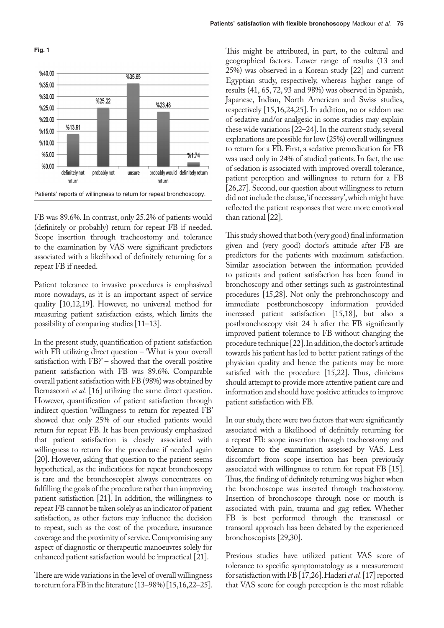

FB was 89.6%. In contrast, only 25.2% of patients would (definitely or probably) return for repeat FB if needed. Scope insertion through tracheostomy and tolerance to the examination by VAS were significant predictors associated with a likelihood of definitely returning for a repeat FB if needed.

Patient tolerance to invasive procedures is emphasized more nowadays, as it is an important aspect of service quality [10,12,19]. However, no universal method for measuring patient satisfaction exists, which limits the possibility of comparing studies [11–13].

In the present study, quantification of patient satisfaction with FB utilizing direct question – 'What is your overall satisfaction with  $FB$ ?' – showed that the overall positive patient satisfaction with FB was 89.6%. Comparable overall patient satisfaction with FB (98%) was obtained by Bernasconi *et al.* [16] utilizing the same direct question. However, quantification of patient satisfaction through indirect question 'willingness to return for repeated FB' showed that only 25% of our studied patients would return for repeat FB. It has been previously emphasized that patient satisfaction is closely associated with willingness to return for the procedure if needed again [20]. However, asking that question to the patient seems hypothetical, as the indications for repeat bronchoscopy is rare and the bronchoscopist always concentrates on fulfilling the goals of the procedure rather than improving patient satisfaction [21]. In addition, the willingness to repeat FB cannot be taken solely as an indicator of patient satisfaction, as other factors may influence the decision to repeat, such as the cost of the procedure, insurance coverage and the proximity of service. Compromising any aspect of diagnostic or therapeutic manoeuvres solely for enhanced patient satisfaction would be impractical [21].

There are wide variations in the level of overall willingness to return for a FB in the literature (13–98%) [15,16,22–25]. This might be attributed, in part, to the cultural and geographical factors. Lower range of results (13 and 25%) was observed in a Korean study [22] and current Egyptian study, respectively, whereas higher range of results (41, 65, 72, 93 and 98%) was observed in Spanish, Japanese, Indian, North American and Swiss studies, respectively [15,16,24,25]. In addition, no or seldom use of sedative and/or analgesic in some studies may explain these wide variations [22–24]. In the current study, several explanations are possible for low (25%) overall willingness to return for a FB. First, a sedative premedication for FB was used only in 24% of studied patients. In fact, the use of sedation is associated with improved overall tolerance, patient perception and willingness to return for a FB [26,27]. Second, our question about willingness to return did not include the clause, 'if necessary', which might have reflected the patient responses that were more emotional than rational [22].

This study showed that both (very good) final information given and (very good) doctor's attitude after FB are predictors for the patients with maximum satisfaction. Similar association between the information provided to patients and patient satisfaction has been found in bronchoscopy and other settings such as gastrointestinal procedures [15,28]. Not only the prebronchoscopy and immediate postbronchoscopy information provided increased patient satisfaction [15,18], but also a postbronchoscopy visit 24 h after the FB significantly improved patient tolerance to FB without changing the procedure technique [22]. In addition, the doctor's attitude towards his patient has led to better patient ratings of the physician quality and hence the patients may be more satisfied with the procedure [15,22]. Thus, clinicians should attempt to provide more attentive patient care and information and should have positive attitudes to improve patient satisfaction with FB.

In our study, there were two factors that were significantly associated with a likelihood of definitely returning for a repeat FB: scope insertion through tracheostomy and tolerance to the examination assessed by VAS. Less discomfort from scope insertion has been previously associated with willingness to return for repeat FB [15]. Thus, the finding of definitely returning was higher when the bronchoscope was inserted through tracheostomy. Insertion of bronchoscope through nose or mouth is associated with pain, trauma and gag reflex. Whether FB is best performed through the transnasal or transoral approach has been debated by the experienced bronchoscopists [29,30].

Previous studies have utilized patient VAS score of tolerance to specific symptomatology as a measurement for satisfaction with FB [17,26]. Hadzri *et al.* [17] reported that VAS score for cough perception is the most reliable